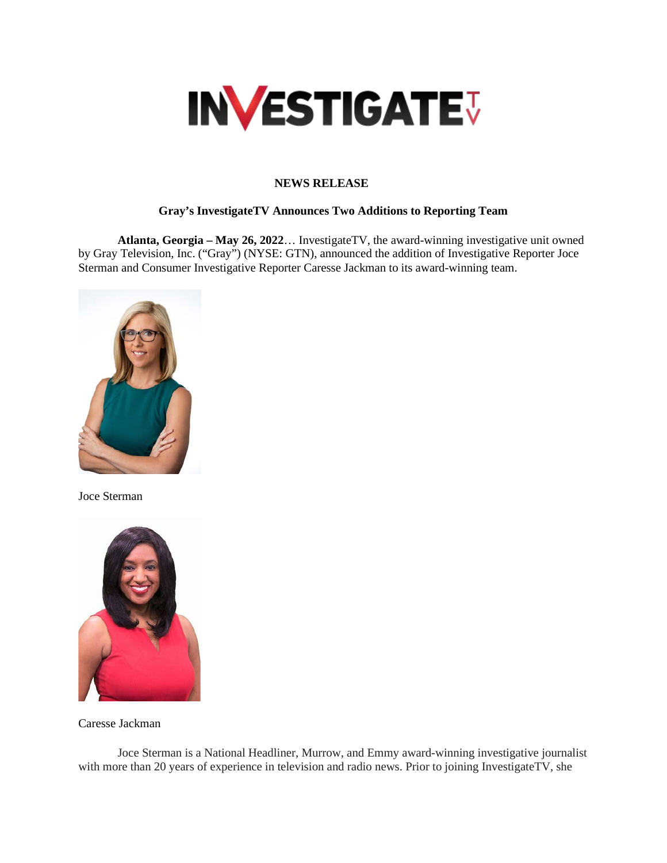

## **NEWS RELEASE**

## **Gray's InvestigateTV Announces Two Additions to Reporting Team**

**Atlanta, Georgia – May 26, 2022**… InvestigateTV, the award-winning investigative unit owned by Gray Television, Inc. ("Gray") (NYSE: GTN), announced the addition of Investigative Reporter Joce Sterman and Consumer Investigative Reporter Caresse Jackman to its award-winning team.



Joce Sterman



Caresse Jackman

Joce Sterman is a National Headliner, Murrow, and Emmy award-winning investigative journalist with more than 20 years of experience in television and radio news. Prior to joining InvestigateTV, she